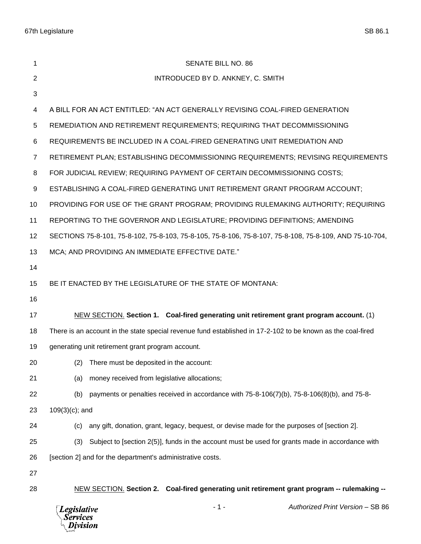| 1              | <b>SENATE BILL NO. 86</b>                                                                                           |
|----------------|---------------------------------------------------------------------------------------------------------------------|
| 2              | INTRODUCED BY D. ANKNEY, C. SMITH                                                                                   |
| 3              |                                                                                                                     |
| 4              | A BILL FOR AN ACT ENTITLED: "AN ACT GENERALLY REVISING COAL-FIRED GENERATION                                        |
| 5              | REMEDIATION AND RETIREMENT REQUIREMENTS; REQUIRING THAT DECOMMISSIONING                                             |
| 6              | REQUIREMENTS BE INCLUDED IN A COAL-FIRED GENERATING UNIT REMEDIATION AND                                            |
| $\overline{7}$ | RETIREMENT PLAN; ESTABLISHING DECOMMISSIONING REQUIREMENTS; REVISING REQUIREMENTS                                   |
| 8              | FOR JUDICIAL REVIEW; REQUIRING PAYMENT OF CERTAIN DECOMMISSIONING COSTS;                                            |
| 9              | ESTABLISHING A COAL-FIRED GENERATING UNIT RETIREMENT GRANT PROGRAM ACCOUNT;                                         |
| 10             | PROVIDING FOR USE OF THE GRANT PROGRAM; PROVIDING RULEMAKING AUTHORITY; REQUIRING                                   |
| 11             | REPORTING TO THE GOVERNOR AND LEGISLATURE; PROVIDING DEFINITIONS; AMENDING                                          |
| 12             | SECTIONS 75-8-101, 75-8-102, 75-8-103, 75-8-105, 75-8-106, 75-8-107, 75-8-108, 75-8-109, AND 75-10-704,             |
| 13             | MCA; AND PROVIDING AN IMMEDIATE EFFECTIVE DATE."                                                                    |
| 14             |                                                                                                                     |
| 15             | BE IT ENACTED BY THE LEGISLATURE OF THE STATE OF MONTANA:                                                           |
| 16             |                                                                                                                     |
| 17             | NEW SECTION. Section 1. Coal-fired generating unit retirement grant program account. (1)                            |
| 18             | There is an account in the state special revenue fund established in 17-2-102 to be known as the coal-fired         |
| 19             | generating unit retirement grant program account.                                                                   |
| 20             | (2) There must be deposited in the account:                                                                         |
| 21             | money received from legislative allocations;<br>(a)                                                                 |
| 22             | payments or penalties received in accordance with $75-8-106(7)(b)$ , $75-8-106(8)(b)$ , and $75-8-106(7)(b)$<br>(b) |
| 23             | $109(3)(c)$ ; and                                                                                                   |
| 24             | any gift, donation, grant, legacy, bequest, or devise made for the purposes of [section 2].<br>(c)                  |
| 25             | Subject to [section 2(5)], funds in the account must be used for grants made in accordance with<br>(3)              |
| 26             | [section 2] and for the department's administrative costs.                                                          |
| 27             |                                                                                                                     |
| 28             | NEW SECTION. Section 2. Coal-fired generating unit retirement grant program -- rulemaking --                        |

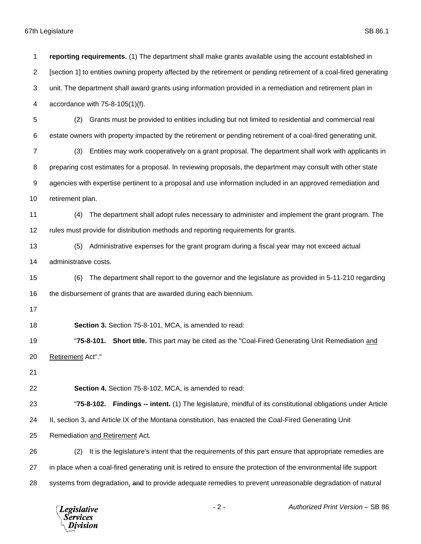Services ivision

 **reporting requirements.** (1) The department shall make grants available using the account established in [section 1] to entities owning property affected by the retirement or pending retirement of a coal-fired generating unit. The department shall award grants using information provided in a remediation and retirement plan in accordance with 75-8-105(1)(f). (2) Grants must be provided to entities including but not limited to residential and commercial real estate owners with property impacted by the retirement or pending retirement of a coal-fired generating unit. (3) Entities may work cooperatively on a grant proposal. The department shall work with applicants in preparing cost estimates for a proposal. In reviewing proposals, the department may consult with other state agencies with expertise pertinent to a proposal and use information included in an approved remediation and retirement plan. (4) The department shall adopt rules necessary to administer and implement the grant program. The rules must provide for distribution methods and reporting requirements for grants. (5) Administrative expenses for the grant program during a fiscal year may not exceed actual administrative costs. (6) The department shall report to the governor and the legislature as provided in 5-11-210 regarding the disbursement of grants that are awarded during each biennium. **Section 3.** Section 75-8-101, MCA, is amended to read: "**75-8-101. Short title.** This part may be cited as the "Coal-Fired Generating Unit Remediation and Retirement Act"." **Section 4.** Section 75-8-102, MCA, is amended to read: "**75-8-102. Findings -- intent.** (1) The legislature, mindful of its constitutional obligations under Article II, section 3, and Article IX of the Montana constitution, has enacted the Coal-Fired Generating Unit Remediation and Retirement Act. (2) It is the legislature's intent that the requirements of this part ensure that appropriate remedies are in place when a coal-fired generating unit is retired to ensure the protection of the environmental life support 28 systems from degradation, and to provide adequate remedies to prevent unreasonable degradation of natural - 2 - *Authorized Print Version* – SB 86 **Legislative**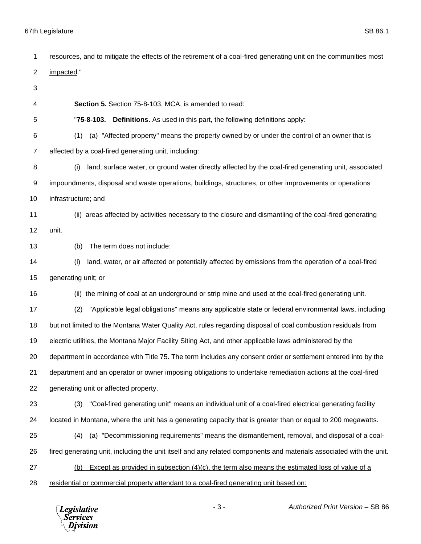| 1  | resources, and to mitigate the effects of the retirement of a coal-fired generating unit on the communities most    |
|----|---------------------------------------------------------------------------------------------------------------------|
| 2  | impacted."                                                                                                          |
| 3  |                                                                                                                     |
| 4  | <b>Section 5.</b> Section 75-8-103, MCA, is amended to read:                                                        |
| 5  | "75-8-103. Definitions. As used in this part, the following definitions apply:                                      |
| 6  | (a) "Affected property" means the property owned by or under the control of an owner that is<br>(1)                 |
| 7  | affected by a coal-fired generating unit, including:                                                                |
| 8  | land, surface water, or ground water directly affected by the coal-fired generating unit, associated<br>(i)         |
| 9  | impoundments, disposal and waste operations, buildings, structures, or other improvements or operations             |
| 10 | infrastructure; and                                                                                                 |
| 11 | (ii) areas affected by activities necessary to the closure and dismantling of the coal-fired generating             |
| 12 | unit.                                                                                                               |
| 13 | The term does not include:<br>(b)                                                                                   |
| 14 | land, water, or air affected or potentially affected by emissions from the operation of a coal-fired<br>(i)         |
| 15 | generating unit; or                                                                                                 |
| 16 | (ii) the mining of coal at an underground or strip mine and used at the coal-fired generating unit.                 |
| 17 | "Applicable legal obligations" means any applicable state or federal environmental laws, including<br>(2)           |
| 18 | but not limited to the Montana Water Quality Act, rules regarding disposal of coal combustion residuals from        |
| 19 | electric utilities, the Montana Major Facility Siting Act, and other applicable laws administered by the            |
| 20 | department in accordance with Title 75. The term includes any consent order or settlement entered into by the       |
| 21 | department and an operator or owner imposing obligations to undertake remediation actions at the coal-fired         |
| 22 | generating unit or affected property.                                                                               |
| 23 | "Coal-fired generating unit" means an individual unit of a coal-fired electrical generating facility<br>(3)         |
| 24 | located in Montana, where the unit has a generating capacity that is greater than or equal to 200 megawatts.        |
| 25 | (a) "Decommissioning requirements" means the dismantlement, removal, and disposal of a coal-<br>(4)                 |
| 26 | fired generating unit, including the unit itself and any related components and materials associated with the unit. |
| 27 | Except as provided in subsection $(4)(c)$ , the term also means the estimated loss of value of a<br>(b)             |
| 28 | residential or commercial property attendant to a coal-fired generating unit based on:                              |
|    |                                                                                                                     |

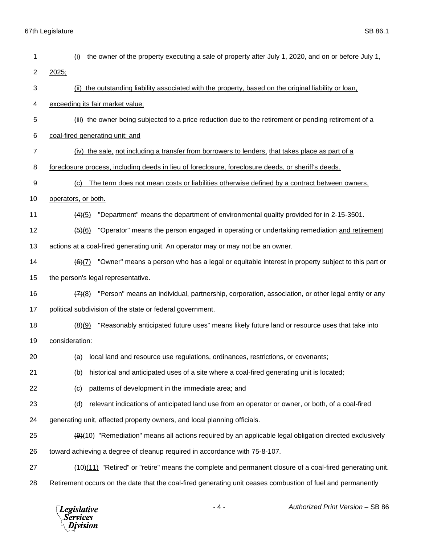| 1              | the owner of the property executing a sale of property after July 1, 2020, and on or before July 1,                 |
|----------------|---------------------------------------------------------------------------------------------------------------------|
| 2              | 2025;                                                                                                               |
| 3              | (ii) the outstanding liability associated with the property, based on the original liability or loan,               |
| 4              | exceeding its fair market value;                                                                                    |
| 5              | (iii) the owner being subjected to a price reduction due to the retirement or pending retirement of a               |
| 6              | coal-fired generating unit; and                                                                                     |
| $\overline{7}$ | (iv) the sale, not including a transfer from borrowers to lenders, that takes place as part of a                    |
| 8              | foreclosure process, including deeds in lieu of foreclosure, foreclosure deeds, or sheriff's deeds.                 |
| 9              | The term does not mean costs or liabilities otherwise defined by a contract between owners,<br>(c)                  |
| 10             | operators, or both.                                                                                                 |
| 11             | "Department" means the department of environmental quality provided for in 2-15-3501.<br>(4)(5)                     |
| 12             | "Operator" means the person engaged in operating or undertaking remediation and retirement<br>$\frac{(5)(6)}{6}$    |
| 13             | actions at a coal-fired generating unit. An operator may or may not be an owner.                                    |
| 14             | "Owner" means a person who has a legal or equitable interest in property subject to this part or<br>(6)(7)          |
| 15             | the person's legal representative.                                                                                  |
| 16             | "Person" means an individual, partnership, corporation, association, or other legal entity or any<br>(7)(8)         |
| 17             | political subdivision of the state or federal government.                                                           |
| 18             | "Reasonably anticipated future uses" means likely future land or resource uses that take into<br>(8)(9)             |
| 19             | consideration:                                                                                                      |
| 20             | (a) local land and resource use regulations, ordinances, restrictions, or covenants;                                |
| 21             | historical and anticipated uses of a site where a coal-fired generating unit is located;<br>(b)                     |
| 22             | patterns of development in the immediate area; and<br>(c)                                                           |
| 23             | relevant indications of anticipated land use from an operator or owner, or both, of a coal-fired<br>(d)             |
| 24             | generating unit, affected property owners, and local planning officials.                                            |
| 25             | $\frac{49(10)}{80}$ "Remediation" means all actions required by an applicable legal obligation directed exclusively |
| 26             | toward achieving a degree of cleanup required in accordance with 75-8-107.                                          |
| 27             | (40)(11) "Retired" or "retire" means the complete and permanent closure of a coal-fired generating unit.            |
| 28             | Retirement occurs on the date that the coal-fired generating unit ceases combustion of fuel and permanently         |
|                |                                                                                                                     |

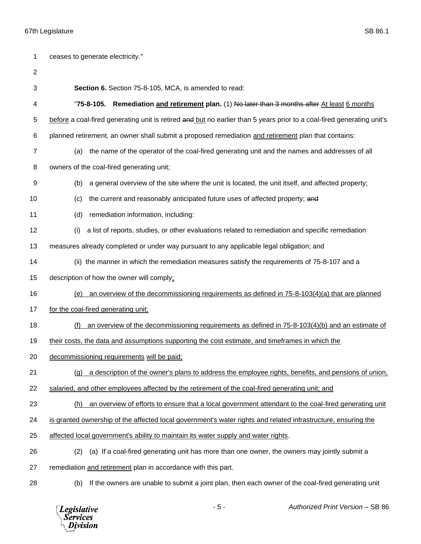| 1              | ceases to generate electricity."                                                                                       |
|----------------|------------------------------------------------------------------------------------------------------------------------|
| $\overline{c}$ |                                                                                                                        |
| 3              | Section 6. Section 75-8-105, MCA, is amended to read:                                                                  |
| 4              | Remediation and retirement plan. (1) No later than 3 months after At least 6 months<br>"75-8-105.                      |
| 5              | before a coal-fired generating unit is retired and but no earlier than 5 years prior to a coal-fired generating unit's |
| 6              | planned retirement, an owner shall submit a proposed remediation and retirement plan that contains:                    |
| 7              | the name of the operator of the coal-fired generating unit and the names and addresses of all<br>(a)                   |
| 8              | owners of the coal-fired generating unit;                                                                              |
| 9              | a general overview of the site where the unit is located, the unit itself, and affected property;<br>(b)               |
| 10             | the current and reasonably anticipated future uses of affected property; and<br>(c)                                    |
| 11             | remediation information, including:<br>(d)                                                                             |
| 12             | a list of reports, studies, or other evaluations related to remediation and specific remediation<br>(i)                |
| 13             | measures already completed or under way pursuant to any applicable legal obligation; and                               |
| 14             | (ii) the manner in which the remediation measures satisfy the requirements of 75-8-107 and a                           |
| 15             | description of how the owner will comply;                                                                              |
| 16             | an overview of the decommissioning requirements as defined in $75-8-103(4)(a)$ that are planned<br>(e)                 |
| 17             | for the coal-fired generating unit;                                                                                    |
| 18             | an overview of the decommissioning requirements as defined in 75-8-103(4)(b) and an estimate of<br>(f)                 |
| 19             | their costs, the data and assumptions supporting the cost estimate, and timeframes in which the                        |
| 20             | decommissioning requirements will be paid;                                                                             |
| 21             | a description of the owner's plans to address the employee rights, benefits, and pensions of union,<br>(g)             |
| 22             | salaried, and other employees affected by the retirement of the coal-fired generating unit; and                        |
| 23             | an overview of efforts to ensure that a local government attendant to the coal-fired generating unit<br>(h)            |
| 24             | is granted ownership of the affected local government's water rights and related infrastructure, ensuring the          |
| 25             | affected local government's ability to maintain its water supply and water rights.                                     |
| 26             | (a) If a coal-fired generating unit has more than one owner, the owners may jointly submit a<br>(2)                    |
| 27             | remediation and retirement plan in accordance with this part.                                                          |
| 28             | If the owners are unable to submit a joint plan, then each owner of the coal-fired generating unit<br>(b)              |
|                |                                                                                                                        |

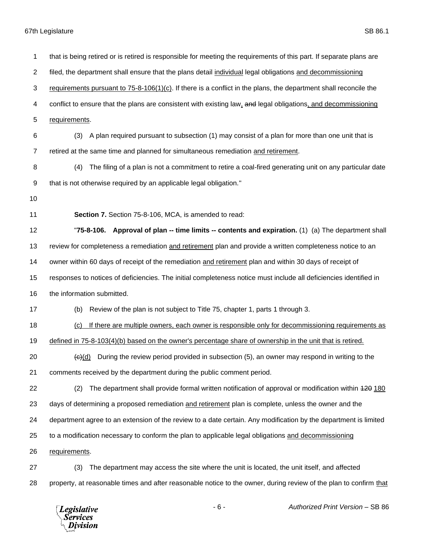that is being retired or is retired is responsible for meeting the requirements of this part. If separate plans are filed, the department shall ensure that the plans detail individual legal obligations and decommissioning requirements pursuant to 75-8-106(1)(c). If there is a conflict in the plans, the department shall reconcile the 4 conflict to ensure that the plans are consistent with existing law, and legal obligations, and decommissioning requirements. (3) A plan required pursuant to subsection (1) may consist of a plan for more than one unit that is retired at the same time and planned for simultaneous remediation and retirement. (4) The filing of a plan is not a commitment to retire a coal-fired generating unit on any particular date that is not otherwise required by an applicable legal obligation." **Section 7.** Section 75-8-106, MCA, is amended to read: "**75-8-106. Approval of plan -- time limits -- contents and expiration.** (1) (a) The department shall review for completeness a remediation and retirement plan and provide a written completeness notice to an owner within 60 days of receipt of the remediation and retirement plan and within 30 days of receipt of responses to notices of deficiencies. The initial completeness notice must include all deficiencies identified in the information submitted. (b) Review of the plan is not subject to Title 75, chapter 1, parts 1 through 3. 18 (c) If there are multiple owners, each owner is responsible only for decommissioning requirements as defined in 75-8-103(4)(b) based on the owner's percentage share of ownership in the unit that is retired.  $\leftarrow$  (c)(d) During the review period provided in subsection (5), an owner may respond in writing to the comments received by the department during the public comment period. 22 (2) The department shall provide formal written notification of approval or modification within 420 180 days of determining a proposed remediation and retirement plan is complete, unless the owner and the department agree to an extension of the review to a date certain. Any modification by the department is limited to a modification necessary to conform the plan to applicable legal obligations and decommissioning requirements. (3) The department may access the site where the unit is located, the unit itself, and affected property, at reasonable times and after reasonable notice to the owner, during review of the plan to confirm that



- 6 - *Authorized Print Version* – SB 86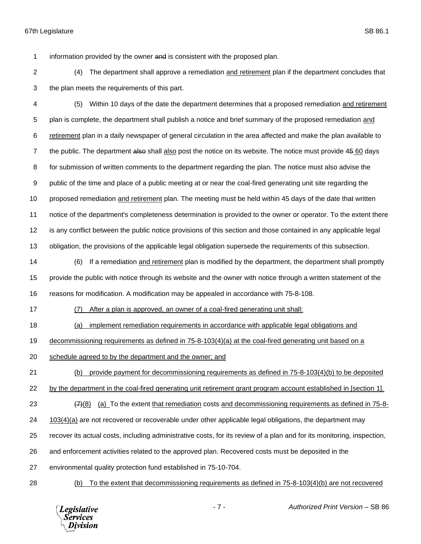information provided by the owner and is consistent with the proposed plan.

 (4) The department shall approve a remediation and retirement plan if the department concludes that the plan meets the requirements of this part.

 (5) Within 10 days of the date the department determines that a proposed remediation and retirement 5 plan is complete, the department shall publish a notice and brief summary of the proposed remediation and retirement plan in a daily newspaper of general circulation in the area affected and make the plan available to 7 the public. The department also shall also post the notice on its website. The notice must provide 45 60 days for submission of written comments to the department regarding the plan. The notice must also advise the public of the time and place of a public meeting at or near the coal-fired generating unit site regarding the 10 proposed remediation and retirement plan. The meeting must be held within 45 days of the date that written notice of the department's completeness determination is provided to the owner or operator. To the extent there is any conflict between the public notice provisions of this section and those contained in any applicable legal obligation, the provisions of the applicable legal obligation supersede the requirements of this subsection.

 (6) If a remediation and retirement plan is modified by the department, the department shall promptly provide the public with notice through its website and the owner with notice through a written statement of the reasons for modification. A modification may be appealed in accordance with 75-8-108.

(7) After a plan is approved, an owner of a coal-fired generating unit shall:

(a) implement remediation requirements in accordance with applicable legal obligations and

decommissioning requirements as defined in 75-8-103(4)(a) at the coal-fired generating unit based on a

schedule agreed to by the department and the owner; and

(b) provide payment for decommissioning requirements as defined in 75-8-103(4)(b) to be deposited

by the department in the coal-fired generating unit retirement grant program account established in [section 1].

 $\left(7\right)(8)$  (a) To the extent that remediation costs and decommissioning requirements as defined in 75-8-

103(4)(a) are not recovered or recoverable under other applicable legal obligations, the department may

recover its actual costs, including administrative costs, for its review of a plan and for its monitoring, inspection,

and enforcement activities related to the approved plan. Recovered costs must be deposited in the

environmental quality protection fund established in 75-10-704.

(b) To the extent that decommissioning requirements as defined in 75-8-103(4)(b) are not recovered



- 7 - *Authorized Print Version* – SB 86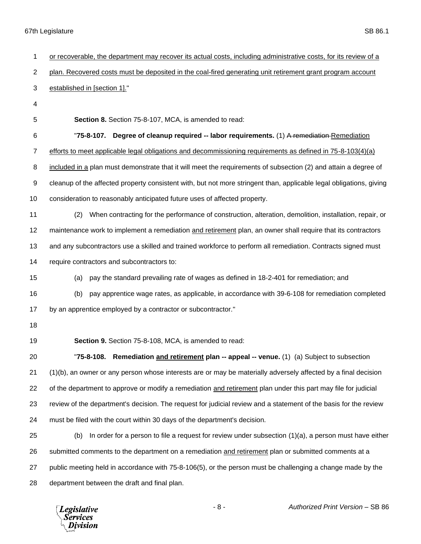| 1              | or recoverable, the department may recover its actual costs, including administrative costs, for its review of a    |
|----------------|---------------------------------------------------------------------------------------------------------------------|
| $\overline{2}$ | plan. Recovered costs must be deposited in the coal-fired generating unit retirement grant program account          |
| 3              | established in [section 1]."                                                                                        |
| 4              |                                                                                                                     |
| 5              | Section 8. Section 75-8-107, MCA, is amended to read:                                                               |
| 6              | Degree of cleanup required -- labor requirements. (1) A remediation Remediation<br>"75-8-107.                       |
| 7              | efforts to meet applicable legal obligations and decommissioning requirements as defined in 75-8-103(4)(a)          |
| 8              | included in a plan must demonstrate that it will meet the requirements of subsection (2) and attain a degree of     |
| 9              | cleanup of the affected property consistent with, but not more stringent than, applicable legal obligations, giving |
| 10             | consideration to reasonably anticipated future uses of affected property.                                           |
| 11             | When contracting for the performance of construction, alteration, demolition, installation, repair, or<br>(2)       |
| 12             | maintenance work to implement a remediation and retirement plan, an owner shall require that its contractors        |
| 13             | and any subcontractors use a skilled and trained workforce to perform all remediation. Contracts signed must        |
| 14             | require contractors and subcontractors to:                                                                          |
| 15             | pay the standard prevailing rate of wages as defined in 18-2-401 for remediation; and<br>(a)                        |
| 16             | pay apprentice wage rates, as applicable, in accordance with 39-6-108 for remediation completed<br>(b)              |
| 17             | by an apprentice employed by a contractor or subcontractor."                                                        |
| 18             |                                                                                                                     |
| 19             | Section 9. Section 75-8-108, MCA, is amended to read:                                                               |
| 20             | "75-8-108. Remediation and retirement plan -- appeal -- venue. (1) (a) Subject to subsection                        |
| 21             | (1)(b), an owner or any person whose interests are or may be materially adversely affected by a final decision      |
| 22             | of the department to approve or modify a remediation and retirement plan under this part may file for judicial      |
| 23             | review of the department's decision. The request for judicial review and a statement of the basis for the review    |
| 24             | must be filed with the court within 30 days of the department's decision.                                           |
| 25             | In order for a person to file a request for review under subsection $(1)(a)$ , a person must have either<br>(b)     |
| 26             | submitted comments to the department on a remediation and retirement plan or submitted comments at a                |
| 27             | public meeting held in accordance with 75-8-106(5), or the person must be challenging a change made by the          |
| 28             | department between the draft and final plan.                                                                        |

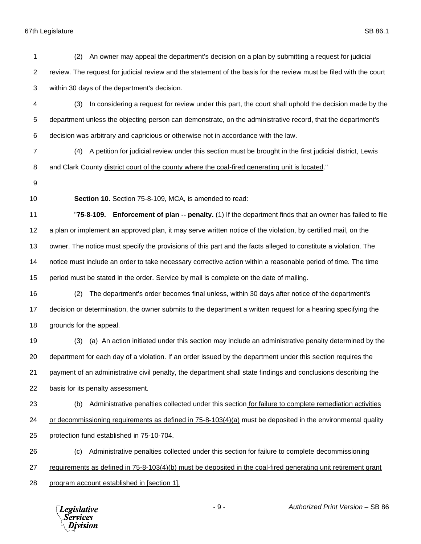| 1                | An owner may appeal the department's decision on a plan by submitting a request for judicial<br>(2)                |
|------------------|--------------------------------------------------------------------------------------------------------------------|
| $\overline{2}$   | review. The request for judicial review and the statement of the basis for the review must be filed with the court |
| 3                | within 30 days of the department's decision.                                                                       |
| 4                | In considering a request for review under this part, the court shall uphold the decision made by the<br>(3)        |
| 5                | department unless the objecting person can demonstrate, on the administrative record, that the department's        |
| 6                | decision was arbitrary and capricious or otherwise not in accordance with the law.                                 |
| 7                | A petition for judicial review under this section must be brought in the first judicial district, Lewis<br>(4)     |
| 8                | and Clark County district court of the county where the coal-fired generating unit is located."                    |
| $\boldsymbol{9}$ |                                                                                                                    |
| 10               | Section 10. Section 75-8-109, MCA, is amended to read:                                                             |
| 11               | "75-8-109. Enforcement of plan -- penalty. (1) If the department finds that an owner has failed to file            |
| 12               | a plan or implement an approved plan, it may serve written notice of the violation, by certified mail, on the      |
| 13               | owner. The notice must specify the provisions of this part and the facts alleged to constitute a violation. The    |
| 14               | notice must include an order to take necessary corrective action within a reasonable period of time. The time      |
| 15               | period must be stated in the order. Service by mail is complete on the date of mailing.                            |
| 16               | The department's order becomes final unless, within 30 days after notice of the department's<br>(2)                |
| 17               | decision or determination, the owner submits to the department a written request for a hearing specifying the      |
| 18               | grounds for the appeal.                                                                                            |
| 19               | (a) An action initiated under this section may include an administrative penalty determined by the<br>(3)          |
| 20               | department for each day of a violation. If an order issued by the department under this section requires the       |
| 21               | payment of an administrative civil penalty, the department shall state findings and conclusions describing the     |
| 22               | basis for its penalty assessment.                                                                                  |
| 23               | Administrative penalties collected under this section for failure to complete remediation activities<br>(b)        |
| 24               | or decommissioning requirements as defined in $75-8-103(4)(a)$ must be deposited in the environmental quality      |
| 25               | protection fund established in 75-10-704.                                                                          |
| 26               | Administrative penalties collected under this section for failure to complete decommissioning<br>(c)               |
| 27               | requirements as defined in 75-8-103(4)(b) must be deposited in the coal-fired generating unit retirement grant     |
| 28               | program account established in [section 1].                                                                        |
|                  |                                                                                                                    |

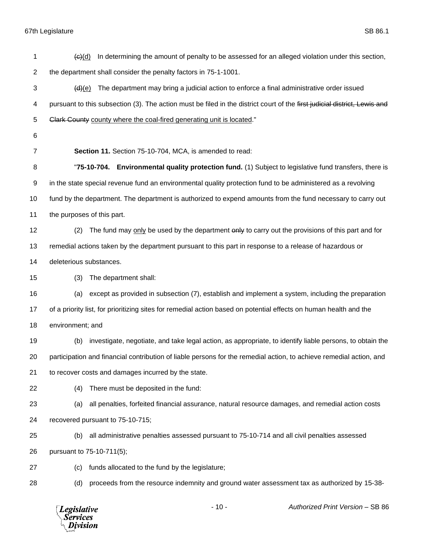| 1  | In determining the amount of penalty to be assessed for an alleged violation under this section,<br>$\overline{(e)(d)}$   |
|----|---------------------------------------------------------------------------------------------------------------------------|
| 2  | the department shall consider the penalty factors in 75-1-1001.                                                           |
| 3  | The department may bring a judicial action to enforce a final administrative order issued<br><del>(d)</del> (e)           |
| 4  | pursuant to this subsection (3). The action must be filed in the district court of the first judicial district, Lewis and |
| 5  | Clark County county where the coal-fired generating unit is located."                                                     |
| 6  |                                                                                                                           |
| 7  | Section 11. Section 75-10-704, MCA, is amended to read:                                                                   |
| 8  | "75-10-704. Environmental quality protection fund. (1) Subject to legislative fund transfers, there is                    |
| 9  | in the state special revenue fund an environmental quality protection fund to be administered as a revolving              |
| 10 | fund by the department. The department is authorized to expend amounts from the fund necessary to carry out               |
| 11 | the purposes of this part.                                                                                                |
| 12 | The fund may only be used by the department only to carry out the provisions of this part and for<br>(2)                  |
| 13 | remedial actions taken by the department pursuant to this part in response to a release of hazardous or                   |
| 14 | deleterious substances.                                                                                                   |
| 15 | The department shall:<br>(3)                                                                                              |
| 16 | except as provided in subsection (7), establish and implement a system, including the preparation<br>(a)                  |
| 17 | of a priority list, for prioritizing sites for remedial action based on potential effects on human health and the         |
| 18 | environment; and                                                                                                          |
| 19 | investigate, negotiate, and take legal action, as appropriate, to identify liable persons, to obtain the<br>(b)           |
| 20 | participation and financial contribution of liable persons for the remedial action, to achieve remedial action, and       |
| 21 | to recover costs and damages incurred by the state.                                                                       |
| 22 | There must be deposited in the fund:<br>(4)                                                                               |
| 23 | all penalties, forfeited financial assurance, natural resource damages, and remedial action costs<br>(a)                  |
| 24 | recovered pursuant to 75-10-715;                                                                                          |
| 25 | all administrative penalties assessed pursuant to 75-10-714 and all civil penalties assessed<br>(b)                       |
| 26 | pursuant to 75-10-711(5);                                                                                                 |
| 27 | funds allocated to the fund by the legislature;<br>(c)                                                                    |
| 28 | proceeds from the resource indemnity and ground water assessment tax as authorized by 15-38-<br>(d)                       |
|    |                                                                                                                           |

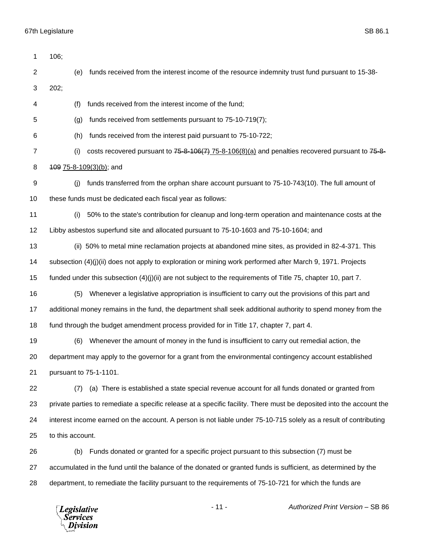| 1              | 106;                                              |                                                                                                                      |
|----------------|---------------------------------------------------|----------------------------------------------------------------------------------------------------------------------|
| $\overline{c}$ | (e)                                               | funds received from the interest income of the resource indemnity trust fund pursuant to 15-38-                      |
| 3              | 202;                                              |                                                                                                                      |
| 4              | (f)                                               | funds received from the interest income of the fund;                                                                 |
| 5              | (g)                                               | funds received from settlements pursuant to 75-10-719(7);                                                            |
| 6              | (h)                                               | funds received from the interest paid pursuant to 75-10-722;                                                         |
| 7              | (i)                                               | costs recovered pursuant to $75-8-106(7)$ $75-8-106(8)(a)$ and penalties recovered pursuant to $75-8-106(8)$         |
| 8              | 109 75-8-109(3)(b); and                           |                                                                                                                      |
| 9              | (i)                                               | funds transferred from the orphan share account pursuant to 75-10-743(10). The full amount of                        |
| 10             |                                                   | these funds must be dedicated each fiscal year as follows:                                                           |
| 11             | (i)                                               | 50% to the state's contribution for cleanup and long-term operation and maintenance costs at the                     |
| 12             |                                                   | Libby asbestos superfund site and allocated pursuant to 75-10-1603 and 75-10-1604; and                               |
| 13             |                                                   | (ii) 50% to metal mine reclamation projects at abandoned mine sites, as provided in 82-4-371. This                   |
| 14             |                                                   | subsection (4)(j)(ii) does not apply to exploration or mining work performed after March 9, 1971. Projects           |
| 15             |                                                   | funded under this subsection $(4)(j)(ii)$ are not subject to the requirements of Title 75, chapter 10, part 7.       |
| 16             | (5)                                               | Whenever a legislative appropriation is insufficient to carry out the provisions of this part and                    |
| 17             |                                                   | additional money remains in the fund, the department shall seek additional authority to spend money from the         |
| 18             |                                                   | fund through the budget amendment process provided for in Title 17, chapter 7, part 4.                               |
| 19             | (6)                                               | Whenever the amount of money in the fund is insufficient to carry out remedial action, the                           |
| 20             |                                                   | department may apply to the governor for a grant from the environmental contingency account established              |
| 21             |                                                   | pursuant to 75-1-1101.                                                                                               |
| 22             | (7)                                               | (a) There is established a state special revenue account for all funds donated or granted from                       |
| 23             |                                                   | private parties to remediate a specific release at a specific facility. There must be deposited into the account the |
| 24             |                                                   | interest income earned on the account. A person is not liable under 75-10-715 solely as a result of contributing     |
| 25             | to this account.                                  |                                                                                                                      |
| 26             | (b)                                               | Funds donated or granted for a specific project pursuant to this subsection (7) must be                              |
| 27             |                                                   | accumulated in the fund until the balance of the donated or granted funds is sufficient, as determined by the        |
| 28             |                                                   | department, to remediate the facility pursuant to the requirements of 75-10-721 for which the funds are              |
|                | <b>Legislative</b><br><b>Services</b><br>Division | $-11-$<br>Authorized Print Version - SB 86                                                                           |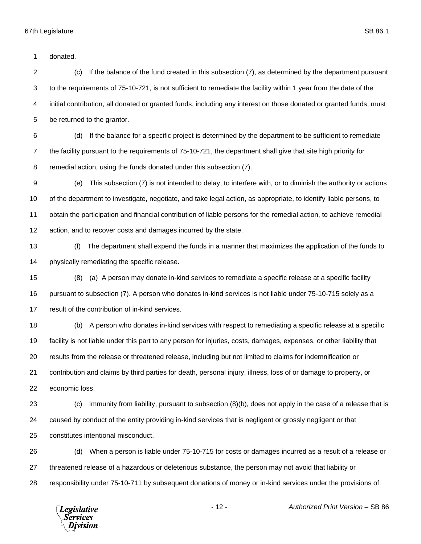donated.

 (c) If the balance of the fund created in this subsection (7), as determined by the department pursuant to the requirements of 75-10-721, is not sufficient to remediate the facility within 1 year from the date of the initial contribution, all donated or granted funds, including any interest on those donated or granted funds, must be returned to the grantor.

 (d) If the balance for a specific project is determined by the department to be sufficient to remediate the facility pursuant to the requirements of 75-10-721, the department shall give that site high priority for remedial action, using the funds donated under this subsection (7).

 (e) This subsection (7) is not intended to delay, to interfere with, or to diminish the authority or actions of the department to investigate, negotiate, and take legal action, as appropriate, to identify liable persons, to obtain the participation and financial contribution of liable persons for the remedial action, to achieve remedial action, and to recover costs and damages incurred by the state.

 (f) The department shall expend the funds in a manner that maximizes the application of the funds to physically remediating the specific release.

 (8) (a) A person may donate in-kind services to remediate a specific release at a specific facility pursuant to subsection (7). A person who donates in-kind services is not liable under 75-10-715 solely as a result of the contribution of in-kind services.

 (b) A person who donates in-kind services with respect to remediating a specific release at a specific facility is not liable under this part to any person for injuries, costs, damages, expenses, or other liability that results from the release or threatened release, including but not limited to claims for indemnification or contribution and claims by third parties for death, personal injury, illness, loss of or damage to property, or economic loss.

 (c) Immunity from liability, pursuant to subsection (8)(b), does not apply in the case of a release that is caused by conduct of the entity providing in-kind services that is negligent or grossly negligent or that constitutes intentional misconduct.

 (d) When a person is liable under 75-10-715 for costs or damages incurred as a result of a release or threatened release of a hazardous or deleterious substance, the person may not avoid that liability or responsibility under 75-10-711 by subsequent donations of money or in-kind services under the provisions of